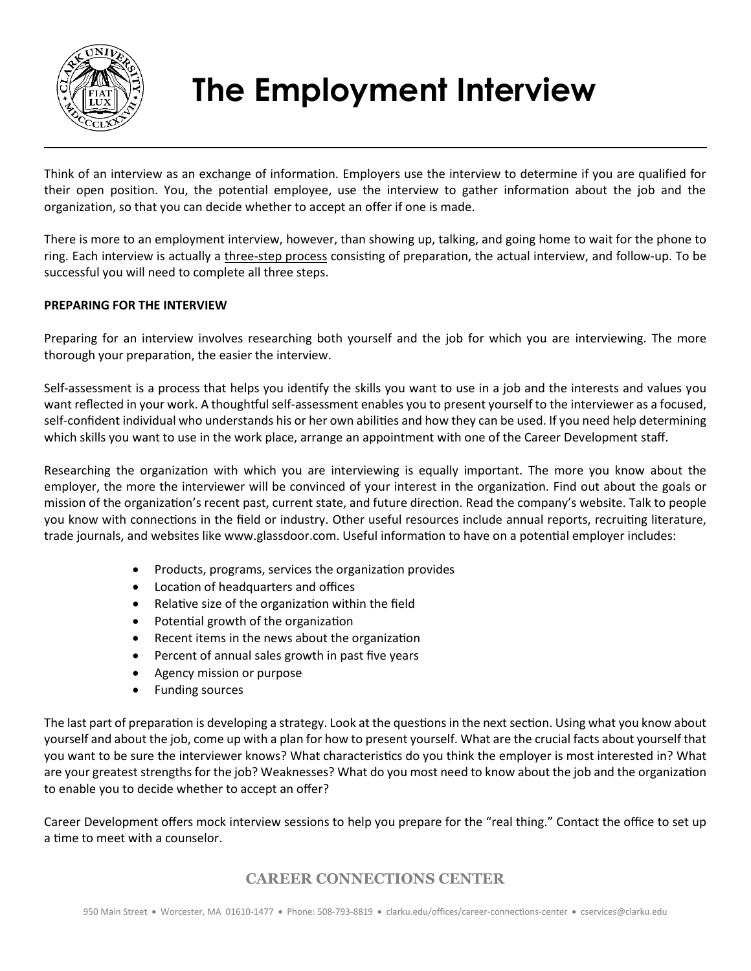

# **The Employment Interview**

Think of an interview as an exchange of information. Employers use the interview to determine if you are qualified for their open position. You, the potential employee, use the interview to gather information about the job and the organization, so that you can decide whether to accept an offer if one is made.

There is more to an employment interview, however, than showing up, talking, and going home to wait for the phone to ring. Each interview is actually a three-step process consisting of preparation, the actual interview, and follow-up. To be successful you will need to complete all three steps.

### **PREPARING FOR THE INTERVIEW**

Preparing for an interview involves researching both yourself and the job for which you are interviewing. The more thorough your preparation, the easier the interview.

Self-assessment is a process that helps you identify the skills you want to use in a job and the interests and values you want reflected in your work. A thoughtful self-assessment enables you to present yourself to the interviewer as a focused, self-confident individual who understands his or her own abilities and how they can be used. If you need help determining which skills you want to use in the work place, arrange an appointment with one of the Career Development staff.

Researching the organization with which you are interviewing is equally important. The more you know about the employer, the more the interviewer will be convinced of your interest in the organization. Find out about the goals or mission of the organization's recent past, current state, and future direction. Read the company's website. Talk to people you know with connections in the field or industry. Other useful resources include annual reports, recruiting literature, trade journals, and websites like www.glassdoor.com. Useful information to have on a potential employer includes:

- Products, programs, services the organization provides
- Location of headquarters and offices
- Relative size of the organization within the field
- Potential growth of the organization
- Recent items in the news about the organization
- Percent of annual sales growth in past five years
- Agency mission or purpose
- Funding sources

The last part of preparation is developing a strategy. Look at the questions in the next section. Using what you know about yourself and about the job, come up with a plan for how to present yourself. What are the crucial facts about yourself that you want to be sure the interviewer knows? What characteristics do you think the employer is most interested in? What are your greatest strengths for the job? Weaknesses? What do you most need to know about the job and the organization to enable you to decide whether to accept an offer?

Career Development offers mock interview sessions to help you prepare for the "real thing." Contact the office to set up a time to meet with a counselor.

## **CAREER CONNECTIONS CENTER**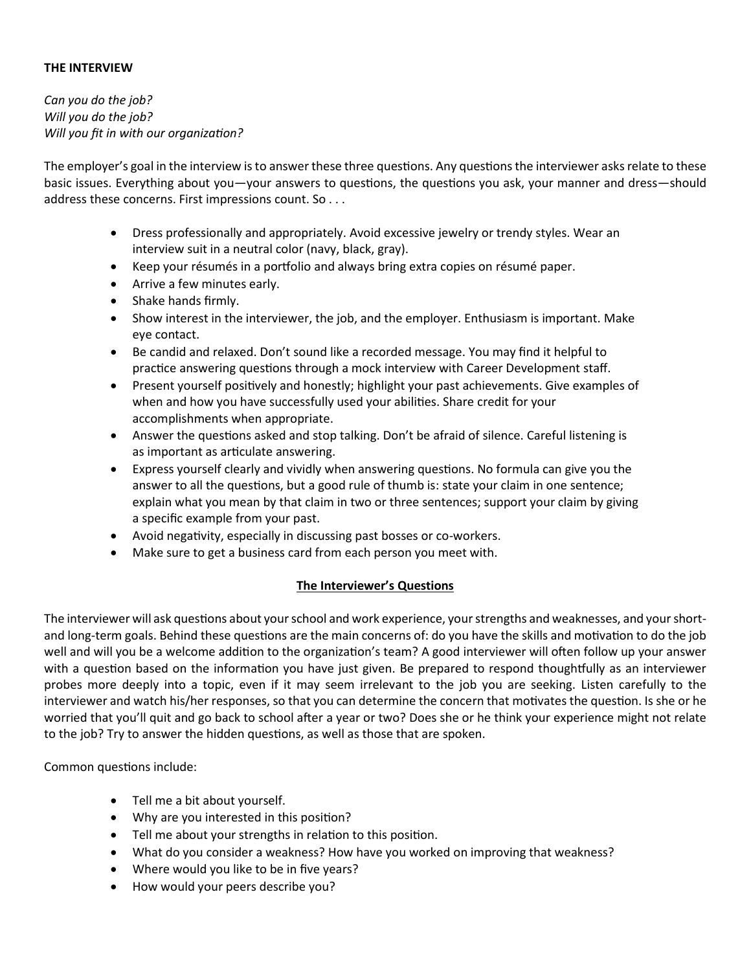### **THE INTERVIEW**

*Can you do the job? Will you do the job? Will you fit in with our organization?*

The employer's goal in the interview is to answer these three questions. Any questions the interviewer asks relate to these basic issues. Everything about you—your answers to questions, the questions you ask, your manner and dress—should address these concerns. First impressions count. So . . .

- Dress professionally and appropriately. Avoid excessive jewelry or trendy styles. Wear an interview suit in a neutral color (navy, black, gray).
- Keep your résumés in a portfolio and always bring extra copies on résumé paper.
- Arrive a few minutes early.
- Shake hands firmly.
- Show interest in the interviewer, the job, and the employer. Enthusiasm is important. Make eye contact.
- Be candid and relaxed. Don't sound like a recorded message. You may find it helpful to practice answering questions through a mock interview with Career Development staff.
- Present yourself positively and honestly; highlight your past achievements. Give examples of when and how you have successfully used your abilities. Share credit for your accomplishments when appropriate.
- Answer the questions asked and stop talking. Don't be afraid of silence. Careful listening is as important as articulate answering.
- Express yourself clearly and vividly when answering questions. No formula can give you the answer to all the questions, but a good rule of thumb is: state your claim in one sentence; explain what you mean by that claim in two or three sentences; support your claim by giving a specific example from your past.
- Avoid negativity, especially in discussing past bosses or co-workers.
- Make sure to get a business card from each person you meet with.

### **The Interviewer's Questions**

The interviewer will ask questions about your school and work experience, your strengths and weaknesses, and your shortand long-term goals. Behind these questions are the main concerns of: do you have the skills and motivation to do the job well and will you be a welcome addition to the organization's team? A good interviewer will often follow up your answer with a question based on the information you have just given. Be prepared to respond thoughtfully as an interviewer probes more deeply into a topic, even if it may seem irrelevant to the job you are seeking. Listen carefully to the interviewer and watch his/her responses, so that you can determine the concern that motivates the question. Is she or he worried that you'll quit and go back to school after a year or two? Does she or he think your experience might not relate to the job? Try to answer the hidden questions, as well as those that are spoken.

Common questions include:

- Tell me a bit about yourself.
- Why are you interested in this position?
- Tell me about your strengths in relation to this position.
- What do you consider a weakness? How have you worked on improving that weakness?
- Where would you like to be in five years?
- How would your peers describe you?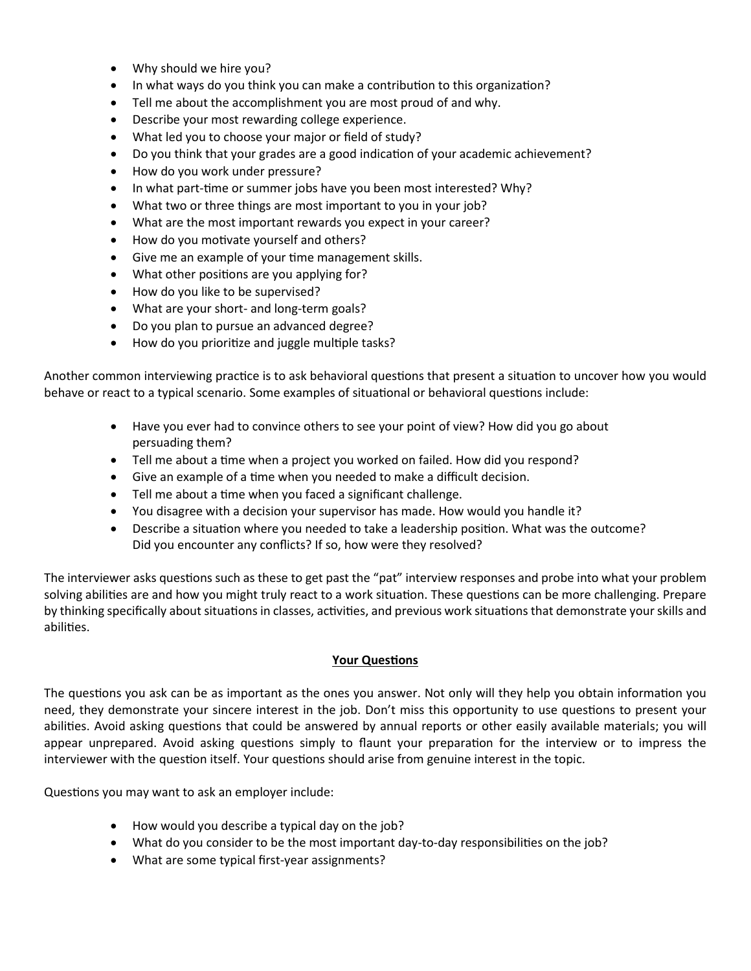- Why should we hire you?
- In what ways do you think you can make a contribution to this organization?
- Tell me about the accomplishment you are most proud of and why.
- Describe your most rewarding college experience.
- What led you to choose your major or field of study?
- Do you think that your grades are a good indication of your academic achievement?
- How do you work under pressure?
- In what part-time or summer jobs have you been most interested? Why?
- What two or three things are most important to you in your job?
- What are the most important rewards you expect in your career?
- How do you motivate yourself and others?
- Give me an example of your time management skills.
- What other positions are you applying for?
- How do you like to be supervised?
- What are your short- and long-term goals?
- Do you plan to pursue an advanced degree?
- How do you prioritize and juggle multiple tasks?

Another common interviewing practice is to ask behavioral questions that present a situation to uncover how you would behave or react to a typical scenario. Some examples of situational or behavioral questions include:

- Have you ever had to convince others to see your point of view? How did you go about persuading them?
- Tell me about a time when a project you worked on failed. How did you respond?
- Give an example of a time when you needed to make a difficult decision.
- Tell me about a time when you faced a significant challenge.
- You disagree with a decision your supervisor has made. How would you handle it?
- Describe a situation where you needed to take a leadership position. What was the outcome? Did you encounter any conflicts? If so, how were they resolved?

The interviewer asks questions such as these to get past the "pat" interview responses and probe into what your problem solving abilities are and how you might truly react to a work situation. These questions can be more challenging. Prepare by thinking specifically about situations in classes, activities, and previous work situations that demonstrate your skills and abilities.

### **Your Questions**

The questions you ask can be as important as the ones you answer. Not only will they help you obtain information you need, they demonstrate your sincere interest in the job. Don't miss this opportunity to use questions to present your abilities. Avoid asking questions that could be answered by annual reports or other easily available materials; you will appear unprepared. Avoid asking questions simply to flaunt your preparation for the interview or to impress the interviewer with the question itself. Your questions should arise from genuine interest in the topic.

Questions you may want to ask an employer include:

- How would you describe a typical day on the job?
- What do you consider to be the most important day-to-day responsibilities on the job?
- What are some typical first-year assignments?